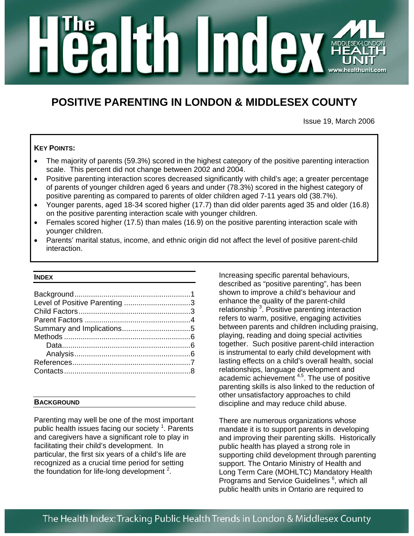# n male MIDDLES

# **POSITIVE PARENTING IN LONDON & MIDDLESEX COUNTY**

Issue 19, March 2006

# **KEY POINTS:**

- The majority of parents (59.3%) scored in the highest category of the positive parenting interaction scale. This percent did not change between 2002 and 2004.
- Positive parenting interaction scores decreased significantly with child's age; a greater percentage of parents of younger children aged 6 years and under (78.3%) scored in the highest category of positive parenting as compared to parents of older children aged 7-11 years old (38.7%).
- Younger parents, aged 18-34 scored higher (17.7) than did older parents aged 35 and older (16.8) on the positive parenting interaction scale with younger children.
- Females scored higher (17.5) than males (16.9) on the positive parenting interaction scale with younger children.
- Parents' marital status, income, and ethnic origin did not affect the level of positive parent-child interaction.

#### **INDEX**

| Level of Positive Parenting 3 |  |
|-------------------------------|--|
|                               |  |
|                               |  |
|                               |  |
|                               |  |
|                               |  |
|                               |  |
|                               |  |
|                               |  |

#### **BACKGROUND**

Parenting may well be one of the most important public health issues facing our society <sup>1</sup>. Parents and caregivers have a significant role to play in facilitating their child's development. In particular, the first six years of a child's life are recognized as a crucial time period for setting the foundation for life-long development  $^2$ .

Increasing specific parental behaviours, described as "positive parenting", has been shown to improve a child's behaviour and enhance the quality of the parent-child relationship<sup>3</sup>. Positive parenting interaction refers to warm, positive, engaging activities between parents and children including praising, playing, reading and doing special activities together. Such positive parent-child interaction is instrumental to early child development with lasting effects on a child's overall health, social relationships, language development and academic achievement <sup>4,5</sup>. The use of positive parenting skills is also linked to the reduction of other unsatisfactory approaches to child discipline and may reduce child abuse.

There are numerous organizations whose mandate it is to support parents in developing and improving their parenting skills. Historically public health has played a strong role in supporting child development through parenting support. The Ontario Ministry of Health and Long Term Care (MOHLTC) Mandatory Health Programs and Service Guidelines<sup>6</sup>, which all public health units in Ontario are required to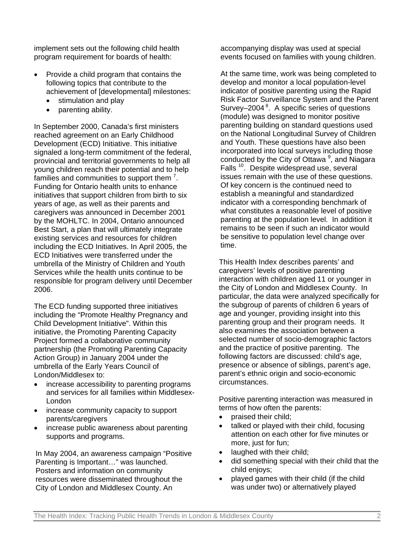implement sets out the following child health program requirement for boards of health:

- Provide a child program that contains the following topics that contribute to the achievement of [developmental] milestones:
	- stimulation and play
	- parenting ability.

In September 2000, Canada's first ministers reached agreement on an Early Childhood Development (ECD) Initiative. This initiative signaled a long-term commitment of the federal, provincial and territorial governments to help all young children reach their potential and to help families and communities to support them<sup>7</sup>. Funding for Ontario health units to enhance initiatives that support children from birth to six years of age, as well as their parents and caregivers was announced in December 2001 by the MOHLTC. In 2004, Ontario announced Best Start, a plan that will ultimately integrate existing services and resources for children including the ECD Initiatives. In April 2005, the ECD Initiatives were transferred under the umbrella of the Ministry of Children and Youth Services while the health units continue to be responsible for program delivery until December 2006.

The ECD funding supported three initiatives including the "Promote Healthy Pregnancy and Child Development Initiative". Within this initiative, the Promoting Parenting Capacity Project formed a collaborative community partnership (the Promoting Parenting Capacity Action Group) in January 2004 under the umbrella of the Early Years Council of London/Middlesex to:

- increase accessibility to parenting programs and services for all families within Middlesex-London
- increase community capacity to support parents/caregivers
- increase public awareness about parenting supports and programs.

In May 2004, an awareness campaign "Positive Parenting is Important…" was launched. Posters and information on community resources were disseminated throughout the City of London and Middlesex County. An

accompanying display was used at special events focused on families with young children.

At the same time, work was being completed to develop and monitor a local population-level indicator of positive parenting using the Rapid Risk Factor Surveillance System and the Parent Survey–2004<sup>8</sup>. A specific series of questions (module) was designed to monitor positive parenting building on standard questions used on the National Longitudinal Survey of Children and Youth. These questions have also been incorporated into local surveys including those conducted by the City of Ottawa<sup>9</sup>, and Niagara Falls<sup>10</sup>. Despite widespread use, several issues remain with the use of these questions. Of key concern is the continued need to establish a meaningful and standardized indicator with a corresponding benchmark of what constitutes a reasonable level of positive parenting at the population level. In addition it remains to be seen if such an indicator would be sensitive to population level change over time.

This Health Index describes parents' and caregivers' levels of positive parenting interaction with children aged 11 or younger in the City of London and Middlesex County. In particular, the data were analyzed specifically for the subgroup of parents of children 6 years of age and younger, providing insight into this parenting group and their program needs. It also examines the association between a selected number of socio-demographic factors and the practice of positive parenting. The following factors are discussed: child's age, presence or absence of siblings, parent's age, parent's ethnic origin and socio-economic circumstances.

Positive parenting interaction was measured in terms of how often the parents:

- praised their child;
- talked or played with their child, focusing attention on each other for five minutes or more, just for fun;
- laughed with their child;
- did something special with their child that the child enjoys;
- played games with their child (if the child was under two) or alternatively played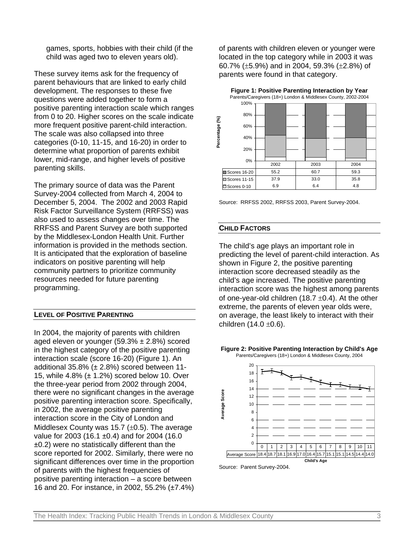games, sports, hobbies with their child (if the child was aged two to eleven years old).

These survey items ask for the frequency of parent behaviours that are linked to early child development. The responses to these five questions were added together to form a positive parenting interaction scale which ranges from 0 to 20. Higher scores on the scale indicate more frequent positive parent-child interaction. The scale was also collapsed into three categories (0-10, 11-15, and 16-20) in order to determine what proportion of parents exhibit lower, mid-range, and higher levels of positive parenting skills.

The primary source of data was the Parent Survey-2004 collected from March 4, 2004 to December 5, 2004. The 2002 and 2003 Rapid Risk Factor Surveillance System (RRFSS) was also used to assess changes over time. The RRFSS and Parent Survey are both supported by the Middlesex-London Health Unit. Further information is provided in the methods section. It is anticipated that the exploration of baseline indicators on positive parenting will help community partners to prioritize community resources needed for future parenting programming.

# **LEVEL OF POSITIVE PARENTING**

In 2004, the majority of parents with children aged eleven or younger  $(59.3% \pm 2.8%)$  scored in the highest category of the positive parenting interaction scale (score 16-20) (Figure 1). An additional  $35.8\%$  ( $\pm 2.8\%$ ) scored between 11-15, while  $4.8\%$  ( $\pm$  1.2%) scored below 10. Over the three-year period from 2002 through 2004, there were no significant changes in the average positive parenting interaction score. Specifically, in 2002, the average positive parenting interaction score in the City of London and Middlesex County was 15.7  $(\pm 0.5)$ . The average value for 2003 (16.1 ±0.4) and for 2004 (16.0 ±0.2) were no statistically different than the score reported for 2002. Similarly, there were no significant differences over time in the proportion of parents with the highest frequencies of positive parenting interaction – a score between 16 and 20. For instance, in 2002, 55.2% (±7.4%)

of parents with children eleven or younger were located in the top category while in 2003 it was 60.7% (±5.9%) and in 2004, 59.3% (±2.8%) of parents were found in that category.

**Figure 1: Positive Parenting Interaction by Year**



Source: RRFSS 2002, RRFSS 2003, Parent Survey-2004.

#### **CHILD FACTORS**

The child's age plays an important role in predicting the level of parent-child interaction. As shown in Figure 2, the positive parenting interaction score decreased steadily as the child's age increased. The positive parenting interaction score was the highest among parents of one-year-old children (18.7  $\pm$ 0.4). At the other extreme, the parents of eleven year olds were, on average, the least likely to interact with their children  $(14.0 \pm 0.6)$ .

#### **Figure 2: Positive Parenting Interaction by Child's Age** Parents/Caregivers (18+) London & Middlesex County, 2004



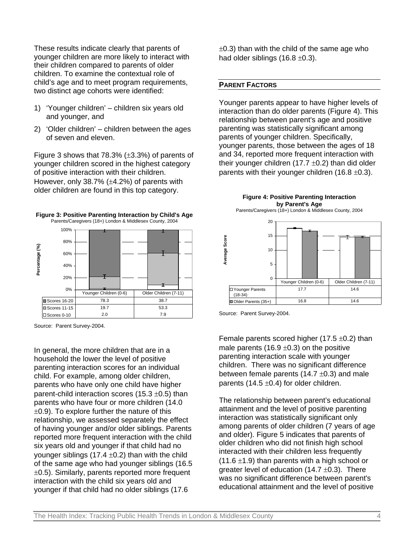These results indicate clearly that parents of younger children are more likely to interact with their children compared to parents of older children. To examine the contextual role of child's age and to meet program requirements, two distinct age cohorts were identified:

- 1) 'Younger children' children six years old and younger, and
- 2) 'Older children' children between the ages of seven and eleven.

Figure 3 shows that  $78.3\%$  ( $\pm 3.3\%$ ) of parents of younger children scored in the highest category of positive interaction with their children. However, only 38.7% (±4.2%) of parents with older children are found in this top category.



Source: Parent Survey-2004.

In general, the more children that are in a household the lower the level of positive parenting interaction scores for an individual child. For example, among older children, parents who have only one child have higher parent-child interaction scores (15.3  $\pm$ 0.5) than parents who have four or more children (14.0  $\pm$ 0.9). To explore further the nature of this relationship, we assessed separately the effect of having younger and/or older siblings. Parents reported more frequent interaction with the child six years old and younger if that child had no younger siblings (17.4  $\pm$ 0.2) than with the child of the same age who had younger siblings (16.5  $\pm$ 0.5). Similarly, parents reported more frequent interaction with the child six years old and younger if that child had no older siblings (17.6

 $\pm$ 0.3) than with the child of the same age who had older siblings  $(16.8 \pm 0.3)$ .

#### **PARENT FACTORS**

Younger parents appear to have higher levels of interaction than do older parents (Figure 4). This relationship between parent's age and positive parenting was statistically significant among parents of younger children. Specifically, younger parents, those between the ages of 18 and 34, reported more frequent interaction with their younger children (17.7  $\pm$ 0.2) than did older parents with their younger children  $(16.8 \pm 0.3)$ .



Source: Parent Survey-2004.

Female parents scored higher (17.5  $\pm$ 0.2) than male parents (16.9  $\pm$ 0.3) on the positive parenting interaction scale with younger children. There was no significant difference between female parents (14.7  $\pm$ 0.3) and male parents (14.5  $\pm$ 0.4) for older children.

The relationship between parent's educational attainment and the level of positive parenting interaction was statistically significant only among parents of older children (7 years of age and older). Figure 5 indicates that parents of older children who did not finish high school interacted with their children less frequently  $(11.6 \pm 1.9)$  than parents with a high school or greater level of education  $(14.7 \pm 0.3)$ . There was no significant difference between parent's educational attainment and the level of positive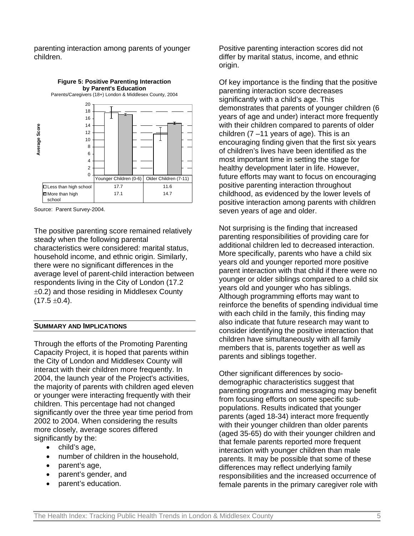parenting interaction among parents of younger children.



Source: Parent Survey-2004.

The positive parenting score remained relatively steady when the following parental characteristics were considered: marital status, household income, and ethnic origin. Similarly, there were no significant differences in the average level of parent-child interaction between respondents living in the City of London (17.2 ±0.2) and those residing in Middlesex County  $(17.5 \pm 0.4)$ .

#### **SUMMARY AND IMPLICATIONS**

Through the efforts of the Promoting Parenting Capacity Project, it is hoped that parents within the City of London and Middlesex County will interact with their children more frequently. In 2004, the launch year of the Project's activities, the majority of parents with children aged eleven or younger were interacting frequently with their children. This percentage had not changed significantly over the three year time period from 2002 to 2004. When considering the results more closely, average scores differed significantly by the:

- child's age,
- number of children in the household,
- parent's age,
- parent's gender, and
- parent's education.

Positive parenting interaction scores did not differ by marital status, income, and ethnic origin.

Of key importance is the finding that the positive parenting interaction score decreases significantly with a child's age. This demonstrates that parents of younger children (6 years of age and under) interact more frequently with their children compared to parents of older children  $(7 - 11)$  years of age). This is an encouraging finding given that the first six years of children's lives have been identified as the most important time in setting the stage for healthy development later in life. However, future efforts may want to focus on encouraging positive parenting interaction throughout childhood, as evidenced by the lower levels of positive interaction among parents with children seven years of age and older.

Not surprising is the finding that increased parenting responsibilities of providing care for additional children led to decreased interaction. More specifically, parents who have a child six years old and younger reported more positive parent interaction with that child if there were no younger or older siblings compared to a child six years old and younger who has siblings. Although programming efforts may want to reinforce the benefits of spending individual time with each child in the family, this finding may also indicate that future research may want to consider identifying the positive interaction that children have simultaneously with all family members that is, parents together as well as parents and siblings together.

Other significant differences by sociodemographic characteristics suggest that parenting programs and messaging may benefit from focusing efforts on some specific subpopulations. Results indicated that younger parents (aged 18-34) interact more frequently with their younger children than older parents (aged 35-65) do with their younger children and that female parents reported more frequent interaction with younger children than male parents. It may be possible that some of these differences may reflect underlying family responsibilities and the increased occurrence of female parents in the primary caregiver role with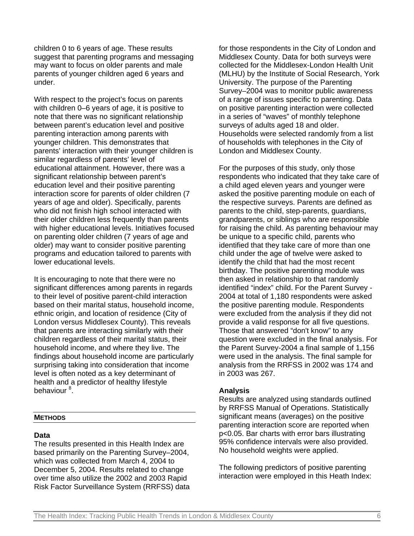children 0 to 6 years of age. These results suggest that parenting programs and messaging may want to focus on older parents and male parents of younger children aged 6 years and under.

With respect to the project's focus on parents with children 0–6 years of age, it is positive to note that there was no significant relationship between parent's education level and positive parenting interaction among parents with younger children. This demonstrates that parents' interaction with their younger children is similar regardless of parents' level of educational attainment. However, there was a significant relationship between parent's education level and their positive parenting interaction score for parents of older children (7 years of age and older). Specifically, parents who did not finish high school interacted with their older children less frequently than parents with higher educational levels. Initiatives focused on parenting older children (7 years of age and older) may want to consider positive parenting programs and education tailored to parents with lower educational levels.

It is encouraging to note that there were no significant differences among parents in regards to their level of positive parent-child interaction based on their marital status, household income, ethnic origin, and location of residence (City of London versus Middlesex County). This reveals that parents are interacting similarly with their children regardless of their marital status, their household income, and where they live. The findings about household income are particularly surprising taking into consideration that income level is often noted as a key determinant of health and a predictor of healthy lifestyle behaviour<sup>8</sup>.

## **METHODS**

### **Data**

The results presented in this Health Index are based primarily on the Parenting Survey–2004, which was collected from March 4, 2004 to December 5, 2004. Results related to change over time also utilize the 2002 and 2003 Rapid Risk Factor Surveillance System (RRFSS) data

for those respondents in the City of London and Middlesex County. Data for both surveys were collected for the Middlesex-London Health Unit (MLHU) by the Institute of Social Research, York University. The purpose of the Parenting Survey–2004 was to monitor public awareness of a range of issues specific to parenting. Data on positive parenting interaction were collected in a series of "waves" of monthly telephone surveys of adults aged 18 and older. Households were selected randomly from a list of households with telephones in the City of London and Middlesex County.

For the purposes of this study, only those respondents who indicated that they take care of a child aged eleven years and younger were asked the positive parenting module on each of the respective surveys. Parents are defined as parents to the child, step-parents, guardians, grandparents, or siblings who are responsible for raising the child. As parenting behaviour may be unique to a specific child, parents who identified that they take care of more than one child under the age of twelve were asked to identify the child that had the most recent birthday. The positive parenting module was then asked in relationship to that randomly identified "index" child. For the Parent Survey - 2004 at total of 1,180 respondents were asked the positive parenting module. Respondents were excluded from the analysis if they did not provide a valid response for all five questions. Those that answered "don't know" to any question were excluded in the final analysis. For the Parent Survey-2004 a final sample of 1,156 were used in the analysis. The final sample for analysis from the RRFSS in 2002 was 174 and in 2003 was 267.

# **Analysis**

Results are analyzed using standards outlined by RRFSS Manual of Operations. Statistically significant means (averages) on the positive parenting interaction score are reported when p<0.05. Bar charts with error bars illustrating 95% confidence intervals were also provided. No household weights were applied.

The following predictors of positive parenting interaction were employed in this Heath Index: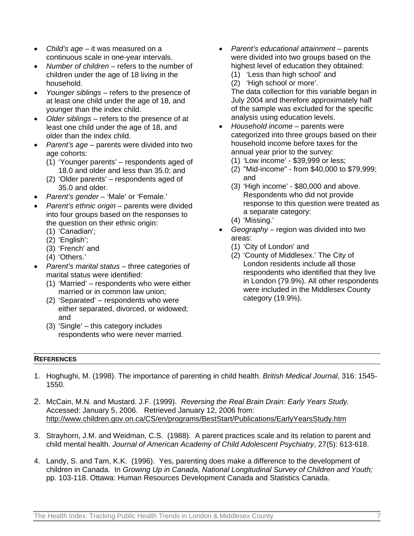- *Child's age*  it was measured on a continuous scale in one-year intervals.
- *Number of children*  refers to the number of children under the age of 18 living in the household.
- *Younger siblings*  refers to the presence of at least one child under the age of 18, and younger than the index child.
- *Older siblings*  refers to the presence of at least one child under the age of 18, and older than the index child.
- *Parent's age* parents were divided into two age cohorts:
	- (1) 'Younger parents' respondents aged of 18.0 and older and less than 35.0; and
	- (2) 'Older parents' respondents aged of 35.0 and older.
- *Parent's gender –* 'Male' or 'Female.'
- *Parent's ethnic origin –* parents were divided into four groups based on the responses to the question on their ethnic origin:
	- (1) 'Canadian';
	- (2) 'English';
	- (3) 'French' and
	- (4) 'Others.'
- *Parent's marital status –* three categories of marital status were identified:
	- (1) 'Married' respondents who were either married or in common law union;
	- (2) 'Separated' respondents who were either separated, divorced, or widowed; and
	- (3) 'Single' this category includes respondents who were never married.
- *Parent's educational attainment* parents were divided into two groups based on the highest level of education they obtained: (1) 'Less than high school' and
	- (2) 'High school or more'.

The data collection for this variable began in July 2004 and therefore approximately half of the sample was excluded for the specific analysis using education levels.

- *Household income* parents were categorized into three groups based on their household income before taxes for the annual year prior to the survey:
	- (1) 'Low income' \$39,999 or less;
	- (2) "Mid-income" from \$40,000 to \$79,999; and
	- (3) 'High income' \$80,000 and above. Respondents who did not provide response to this question were treated as a separate category:
	- (4) 'Missing.'
- *Geography* region was divided into two areas:
	- (1) 'City of London' and
	- (2) 'County of Middlesex.' The City of London residents include all those respondents who identified that they live in London (79.9%). All other respondents were included in the Middlesex County category (19.9%).

# **REFERENCES**

- 1. Hoghughi, M. (1998). The importance of parenting in child health. *British Medical Journal*, 316: 1545- 1550.
- 2. McCain, M.N. and Mustard. J.F. (1999). *Reversing the Real Brain Drain: Early Years Study.* Accessed: January 5, 2006. Retrieved January 12, 2006 from: http://www.children.gov.on.ca/CS/en/programs/BestStart/Publications/EarlyYearsStudy.htm
- 3. Strayhorn, J.M. and Weidman, C.S. (1988). A parent practices scale and its relation to parent and child mental health. *Journal of American Academy of Child Adolescent Psychiatry*, 27(5): 613-618.
- 4. Landy, S. and Tam, K.K. (1996). Yes, parenting does make a difference to the development of children in Canada. In *Growing Up in Canada, National Longitudinal Survey of Children and Youth;* pp. 103-118. Ottawa: Human Resources Development Canada and Statistics Canada.